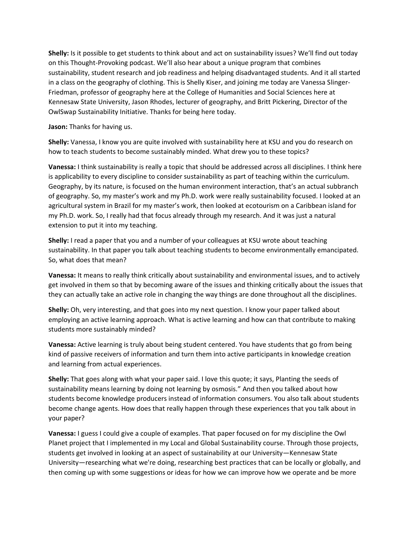**Shelly:** Is it possible to get students to think about and act on sustainability issues? We'll find out today on this Thought-Provoking podcast. We'll also hear about a unique program that combines sustainability, student research and job readiness and helping disadvantaged students. And it all started in a class on the geography of clothing. This is Shelly Kiser, and joining me today are Vanessa Slinger-Friedman, professor of geography here at the College of Humanities and Social Sciences here at Kennesaw State University, Jason Rhodes, lecturer of geography, and Britt Pickering, Director of the OwlSwap Sustainability Initiative. Thanks for being here today.

**Jason:** Thanks for having us.

**Shelly:** Vanessa, I know you are quite involved with sustainability here at KSU and you do research on how to teach students to become sustainably minded. What drew you to these topics?

**Vanessa:** I think sustainability is really a topic that should be addressed across all disciplines. I think here is applicability to every discipline to consider sustainability as part of teaching within the curriculum. Geography, by its nature, is focused on the human environment interaction, that's an actual subbranch of geography. So, my master's work and my Ph.D. work were really sustainability focused. I looked at an agricultural system in Brazil for my master's work, then looked at ecotourism on a Caribbean island for my Ph.D. work. So, I really had that focus already through my research. And it was just a natural extension to put it into my teaching.

**Shelly:** I read a paper that you and a number of your colleagues at KSU wrote about teaching sustainability. In that paper you talk about teaching students to become environmentally emancipated. So, what does that mean?

**Vanessa:** It means to really think critically about sustainability and environmental issues, and to actively get involved in them so that by becoming aware of the issues and thinking critically about the issues that they can actually take an active role in changing the way things are done throughout all the disciplines.

**Shelly:** Oh, very interesting, and that goes into my next question. I know your paper talked about employing an active learning approach. What is active learning and how can that contribute to making students more sustainably minded?

**Vanessa:** Active learning is truly about being student centered. You have students that go from being kind of passive receivers of information and turn them into active participants in knowledge creation and learning from actual experiences.

**Shelly:** That goes along with what your paper said. I love this quote; it says, Planting the seeds of sustainability means learning by doing not learning by osmosis." And then you talked about how students become knowledge producers instead of information consumers. You also talk about students become change agents. How does that really happen through these experiences that you talk about in your paper?

**Vanessa:** I guess I could give a couple of examples. That paper focused on for my discipline the Owl Planet project that I implemented in my Local and Global Sustainability course. Through those projects, students get involved in looking at an aspect of sustainability at our University—Kennesaw State University—researching what we're doing, researching best practices that can be locally or globally, and then coming up with some suggestions or ideas for how we can improve how we operate and be more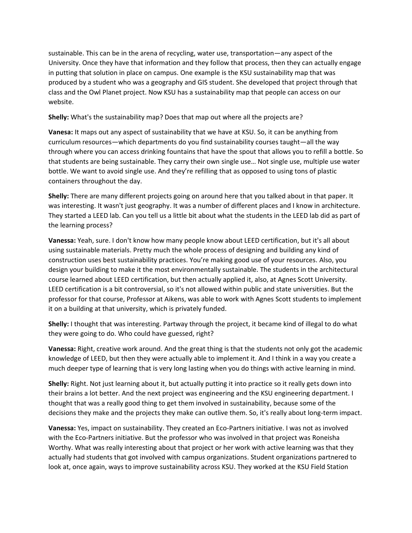sustainable. This can be in the arena of recycling, water use, transportation—any aspect of the University. Once they have that information and they follow that process, then they can actually engage in putting that solution in place on campus. One example is the KSU sustainability map that was produced by a student who was a geography and GIS student. She developed that project through that class and the Owl Planet project. Now KSU has a sustainability map that people can access on our website.

**Shelly:** What's the sustainability map? Does that map out where all the projects are?

**Vanesa:** It maps out any aspect of sustainability that we have at KSU. So, it can be anything from curriculum resources—which departments do you find sustainability courses taught—all the way through where you can access drinking fountains that have the spout that allows you to refill a bottle. So that students are being sustainable. They carry their own single use… Not single use, multiple use water bottle. We want to avoid single use. And they're refilling that as opposed to using tons of plastic containers throughout the day.

**Shelly:** There are many different projects going on around here that you talked about in that paper. It was interesting. It wasn't just geography. It was a number of different places and I know in architecture. They started a LEED lab. Can you tell us a little bit about what the students in the LEED lab did as part of the learning process?

**Vanessa:** Yeah, sure. I don't know how many people know about LEED certification, but it's all about using sustainable materials. Pretty much the whole process of designing and building any kind of construction uses best sustainability practices. You're making good use of your resources. Also, you design your building to make it the most environmentally sustainable. The students in the architectural course learned about LEED certification, but then actually applied it, also, at Agnes Scott University. LEED certification is a bit controversial, so it's not allowed within public and state universities. But the professor for that course, Professor at Aikens, was able to work with Agnes Scott students to implement it on a building at that university, which is privately funded.

**Shelly:** I thought that was interesting. Partway through the project, it became kind of illegal to do what they were going to do. Who could have guessed, right?

**Vanessa:** Right, creative work around. And the great thing is that the students not only got the academic knowledge of LEED, but then they were actually able to implement it. And I think in a way you create a much deeper type of learning that is very long lasting when you do things with active learning in mind.

**Shelly:** Right. Not just learning about it, but actually putting it into practice so it really gets down into their brains a lot better. And the next project was engineering and the KSU engineering department. I thought that was a really good thing to get them involved in sustainability, because some of the decisions they make and the projects they make can outlive them. So, it's really about long-term impact.

**Vanessa:** Yes, impact on sustainability. They created an Eco-Partners initiative. I was not as involved with the Eco-Partners initiative. But the professor who was involved in that project was Roneisha Worthy. What was really interesting about that project or her work with active learning was that they actually had students that got involved with campus organizations. Student organizations partnered to look at, once again, ways to improve sustainability across KSU. They worked at the KSU Field Station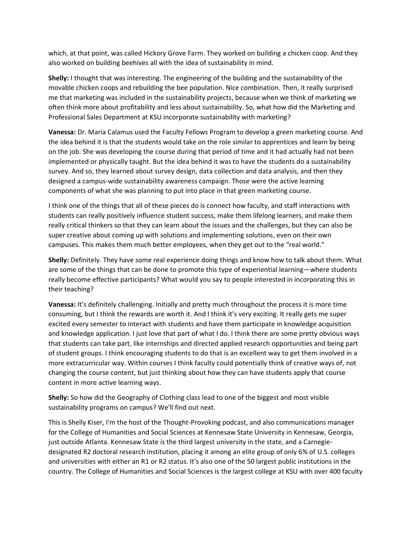which, at that point, was called Hickory Grove Farm. They worked on building a chicken coop. And they also worked on building beehives all with the idea of sustainability in mind.

**Shelly:** I thought that was interesting. The engineering of the building and the sustainability of the movable chicken coops and rebuilding the bee population. Nice combination. Then, it really surprised me that marketing was included in the sustainability projects, because when we think of marketing we often think more about profitability and less about sustainability. So, what how did the Marketing and Professional Sales Department at KSU incorporate sustainability with marketing?

**Vanessa:** Dr. Maria Calamus used the Faculty Fellows Program to develop a green marketing course. And the idea behind it is that the students would take on the role similar to apprentices and learn by being on the job. She was developing the course during that period of time and it had actually had not been implemented or physically taught. But the idea behind it was to have the students do a sustainability survey. And so, they learned about survey design, data collection and data analysis, and then they designed a campus-wide sustainability awareness campaign. Those were the active learning components of what she was planning to put into place in that green marketing course.

I think one of the things that all of these pieces do is connect how faculty, and staff interactions with students can really positively influence student success, make them lifelong learners, and make them really critical thinkers so that they can learn about the issues and the challenges, but they can also be super creative about coming up with solutions and implementing solutions, even on their own campuses. This makes them much better employees, when they get out to the "real world."

**Shelly:** Definitely. They have some real experience doing things and know how to talk about them. What are some of the things that can be done to promote this type of experiential learning—where students really become effective participants? What would you say to people interested in incorporating this in their teaching?

**Vanessa:** It's definitely challenging. Initially and pretty much throughout the process it is more time consuming, but I think the rewards are worth it. And I think it's very exciting. It really gets me super excited every semester to interact with students and have them participate in knowledge acquisition and knowledge application. I just love that part of what I do. I think there are some pretty obvious ways that students can take part, like internships and directed applied research opportunities and being part of student groups. I think encouraging students to do that is an excellent way to get them involved in a more extracurricular way. Within courses I think faculty could potentially think of creative ways of, not changing the course content, but just thinking about how they can have students apply that course content in more active learning ways.

**Shelly:** So how did the Geography of Clothing class lead to one of the biggest and most visible sustainability programs on campus? We'll find out next.

This is Shelly Kiser, I'm the host of the Thought-Provoking podcast, and also communications manager for the College of Humanities and Social Sciences at Kennesaw State University in Kennesaw, Georgia, just outside Atlanta. Kennesaw State is the third largest university in the state, and a Carnegiedesignated R2 doctoral research institution, placing it among an elite group of only 6% of U.S. colleges and universities with either an R1 or R2 status. It's also one of the 50 largest public institutions in the country. The College of Humanities and Social Sciences is the largest college at KSU with over 400 faculty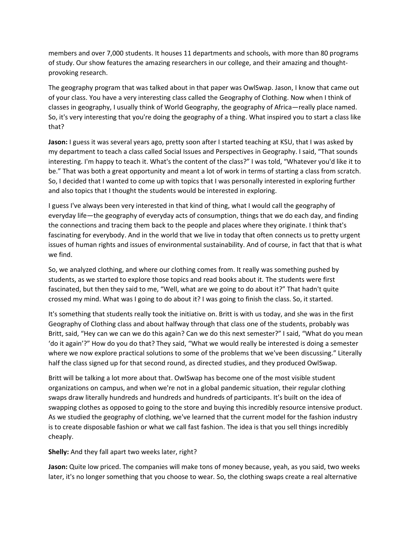members and over 7,000 students. It houses 11 departments and schools, with more than 80 programs of study. Our show features the amazing researchers in our college, and their amazing and thoughtprovoking research.

The geography program that was talked about in that paper was OwlSwap. Jason, I know that came out of your class. You have a very interesting class called the Geography of Clothing. Now when I think of classes in geography, I usually think of World Geography, the geography of Africa—really place named. So, it's very interesting that you're doing the geography of a thing. What inspired you to start a class like that?

**Jason:** I guess it was several years ago, pretty soon after I started teaching at KSU, that I was asked by my department to teach a class called Social Issues and Perspectives in Geography. I said, "That sounds interesting. I'm happy to teach it. What's the content of the class?" I was told, "Whatever you'd like it to be." That was both a great opportunity and meant a lot of work in terms of starting a class from scratch. So, I decided that I wanted to come up with topics that I was personally interested in exploring further and also topics that I thought the students would be interested in exploring.

I guess I've always been very interested in that kind of thing, what I would call the geography of everyday life—the geography of everyday acts of consumption, things that we do each day, and finding the connections and tracing them back to the people and places where they originate. I think that's fascinating for everybody. And in the world that we live in today that often connects us to pretty urgent issues of human rights and issues of environmental sustainability. And of course, in fact that that is what we find.

So, we analyzed clothing, and where our clothing comes from. It really was something pushed by students, as we started to explore those topics and read books about it. The students were first fascinated, but then they said to me, "Well, what are we going to do about it?" That hadn't quite crossed my mind. What was I going to do about it? I was going to finish the class. So, it started.

It's something that students really took the initiative on. Britt is with us today, and she was in the first Geography of Clothing class and about halfway through that class one of the students, probably was Britt, said, "Hey can we can we do this again? Can we do this next semester?" I said, "What do you mean 'do it again'?" How do you do that? They said, "What we would really be interested is doing a semester where we now explore practical solutions to some of the problems that we've been discussing." Literally half the class signed up for that second round, as directed studies, and they produced OwlSwap.

Britt will be talking a lot more about that. OwlSwap has become one of the most visible student organizations on campus, and when we're not in a global pandemic situation, their regular clothing swaps draw literally hundreds and hundreds and hundreds of participants. It's built on the idea of swapping clothes as opposed to going to the store and buying this incredibly resource intensive product. As we studied the geography of clothing, we've learned that the current model for the fashion industry is to create disposable fashion or what we call fast fashion. The idea is that you sell things incredibly cheaply.

## **Shelly:** And they fall apart two weeks later, right?

**Jason:** Quite low priced. The companies will make tons of money because, yeah, as you said, two weeks later, it's no longer something that you choose to wear. So, the clothing swaps create a real alternative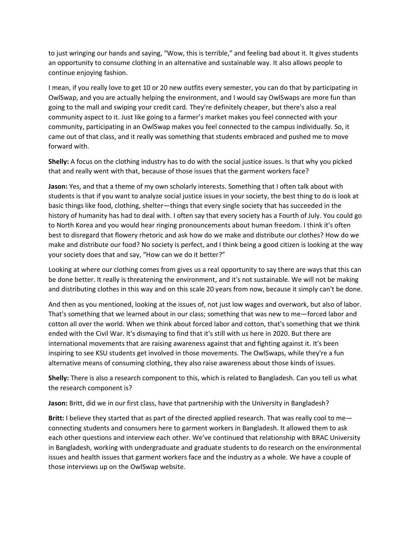to just wringing our hands and saying, "Wow, this is terrible," and feeling bad about it. It gives students an opportunity to consume clothing in an alternative and sustainable way. It also allows people to continue enjoying fashion.

I mean, if you really love to get 10 or 20 new outfits every semester, you can do that by participating in OwlSwap, and you are actually helping the environment, and I would say OwlSwaps are more fun than going to the mall and swiping your credit card. They're definitely cheaper, but there's also a real community aspect to it. Just like going to a farmer's market makes you feel connected with your community, participating in an OwlSwap makes you feel connected to the campus individually. So, it came out of that class, and it really was something that students embraced and pushed me to move forward with.

**Shelly:** A focus on the clothing industry has to do with the social justice issues. Is that why you picked that and really went with that, because of those issues that the garment workers face?

**Jason:** Yes, and that a theme of my own scholarly interests. Something that I often talk about with students is that if you want to analyze social justice issues in your society, the best thing to do is look at basic things like food, clothing, shelter—things that every single society that has succeeded in the history of humanity has had to deal with. I often say that every society has a Fourth of July. You could go to North Korea and you would hear ringing pronouncements about human freedom. I think it's often best to disregard that flowery rhetoric and ask how do we make and distribute our clothes? How do we make and distribute our food? No society is perfect, and I think being a good citizen is looking at the way your society does that and say, "How can we do it better?"

Looking at where our clothing comes from gives us a real opportunity to say there are ways that this can be done better. It really is threatening the environment, and it's not sustainable. We will not be making and distributing clothes in this way and on this scale 20 years from now, because it simply can't be done.

And then as you mentioned, looking at the issues of, not just low wages and overwork, but also of labor. That's something that we learned about in our class; something that was new to me—forced labor and cotton all over the world. When we think about forced labor and cotton, that's something that we think ended with the Civil War. It's dismaying to find that it's still with us here in 2020. But there are international movements that are raising awareness against that and fighting against it. It's been inspiring to see KSU students get involved in those movements. The OwlSwaps, while they're a fun alternative means of consuming clothing, they also raise awareness about those kinds of issues.

**Shelly:** There is also a research component to this, which is related to Bangladesh. Can you tell us what the research component is?

**Jason:** Britt, did we in our first class, have that partnership with the University in Bangladesh?

**Britt:** I believe they started that as part of the directed applied research. That was really cool to me connecting students and consumers here to garment workers in Bangladesh. It allowed them to ask each other questions and interview each other. We've continued that relationship with BRAC University in Bangladesh, working with undergraduate and graduate students to do research on the environmental issues and health issues that garment workers face and the industry as a whole. We have a couple of those interviews up on the OwlSwap website.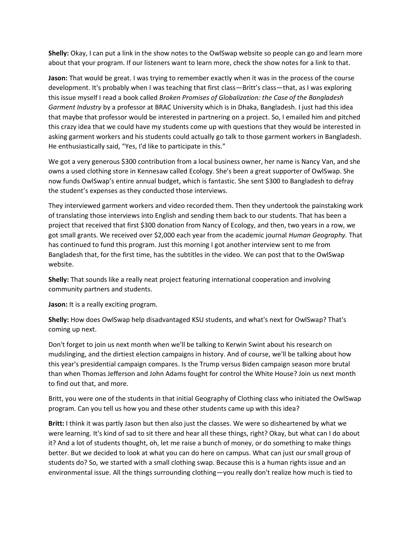**Shelly:** Okay, I can put a link in the show notes to the OwlSwap website so people can go and learn more about that your program. If our listeners want to learn more, check the show notes for a link to that.

**Jason:** That would be great. I was trying to remember exactly when it was in the process of the course development. It's probably when I was teaching that first class—Britt's class—that, as I was exploring this issue myself I read a book called *Broken Promises of Globalization: the Case of the Bangladesh Garment Industry* by a professor at BRAC University which is in Dhaka, Bangladesh. I just had this idea that maybe that professor would be interested in partnering on a project. So, I emailed him and pitched this crazy idea that we could have my students come up with questions that they would be interested in asking garment workers and his students could actually go talk to those garment workers in Bangladesh. He enthusiastically said, "Yes, I'd like to participate in this."

We got a very generous \$300 contribution from a local business owner, her name is Nancy Van, and she owns a used clothing store in Kennesaw called Ecology. She's been a great supporter of OwlSwap. She now funds OwlSwap's entire annual budget, which is fantastic. She sent \$300 to Bangladesh to defray the student's expenses as they conducted those interviews.

They interviewed garment workers and video recorded them. Then they undertook the painstaking work of translating those interviews into English and sending them back to our students. That has been a project that received that first \$300 donation from Nancy of Ecology, and then, two years in a row, we got small grants. We received over \$2,000 each year from the academic journal *Human Geography.* That has continued to fund this program. Just this morning I got another interview sent to me from Bangladesh that, for the first time, has the subtitles in the video. We can post that to the OwlSwap website.

**Shelly:** That sounds like a really neat project featuring international cooperation and involving community partners and students.

**Jason:** It is a really exciting program.

**Shelly:** How does OwlSwap help disadvantaged KSU students, and what's next for OwlSwap? That's coming up next.

Don't forget to join us next month when we'll be talking to Kerwin Swint about his research on mudslinging, and the dirtiest election campaigns in history. And of course, we'll be talking about how this year's presidential campaign compares. Is the Trump versus Biden campaign season more brutal than when Thomas Jefferson and John Adams fought for control the White House? Join us next month to find out that, and more.

Britt, you were one of the students in that initial Geography of Clothing class who initiated the OwlSwap program. Can you tell us how you and these other students came up with this idea?

**Britt:** I think it was partly Jason but then also just the classes. We were so disheartened by what we were learning. It's kind of sad to sit there and hear all these things, right? Okay, but what can I do about it? And a lot of students thought, oh, let me raise a bunch of money, or do something to make things better. But we decided to look at what you can do here on campus. What can just our small group of students do? So, we started with a small clothing swap. Because this is a human rights issue and an environmental issue. All the things surrounding clothing—you really don't realize how much is tied to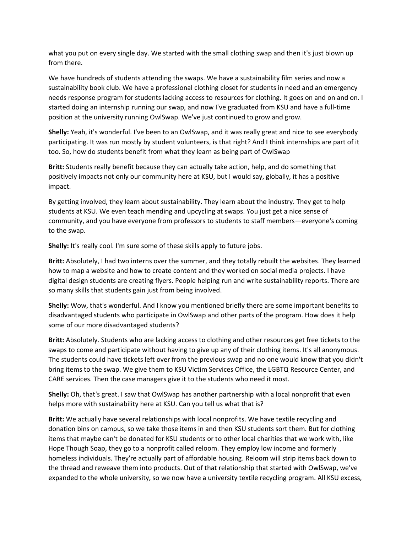what you put on every single day. We started with the small clothing swap and then it's just blown up from there.

We have hundreds of students attending the swaps. We have a sustainability film series and now a sustainability book club. We have a professional clothing closet for students in need and an emergency needs response program for students lacking access to resources for clothing. It goes on and on and on. I started doing an internship running our swap, and now I've graduated from KSU and have a full-time position at the university running OwlSwap. We've just continued to grow and grow.

**Shelly:** Yeah, it's wonderful. I've been to an OwlSwap, and it was really great and nice to see everybody participating. It was run mostly by student volunteers, is that right? And I think internships are part of it too. So, how do students benefit from what they learn as being part of OwlSwap

**Britt:** Students really benefit because they can actually take action, help, and do something that positively impacts not only our community here at KSU, but I would say, globally, it has a positive impact.

By getting involved, they learn about sustainability. They learn about the industry. They get to help students at KSU. We even teach mending and upcycling at swaps. You just get a nice sense of community, and you have everyone from professors to students to staff members—everyone's coming to the swap.

**Shelly:** It's really cool. I'm sure some of these skills apply to future jobs.

**Britt:** Absolutely, I had two interns over the summer, and they totally rebuilt the websites. They learned how to map a website and how to create content and they worked on social media projects. I have digital design students are creating flyers. People helping run and write sustainability reports. There are so many skills that students gain just from being involved.

**Shelly:** Wow, that's wonderful. And I know you mentioned briefly there are some important benefits to disadvantaged students who participate in OwlSwap and other parts of the program. How does it help some of our more disadvantaged students?

**Britt:** Absolutely. Students who are lacking access to clothing and other resources get free tickets to the swaps to come and participate without having to give up any of their clothing items. It's all anonymous. The students could have tickets left over from the previous swap and no one would know that you didn't bring items to the swap. We give them to KSU Victim Services Office, the LGBTQ Resource Center, and CARE services. Then the case managers give it to the students who need it most.

**Shelly:** Oh, that's great. I saw that OwlSwap has another partnership with a local nonprofit that even helps more with sustainability here at KSU. Can you tell us what that is?

**Britt:** We actually have several relationships with local nonprofits. We have textile recycling and donation bins on campus, so we take those items in and then KSU students sort them. But for clothing items that maybe can't be donated for KSU students or to other local charities that we work with, like Hope Though Soap, they go to a nonprofit called reloom. They employ low income and formerly homeless individuals. They're actually part of affordable housing. Reloom will strip items back down to the thread and reweave them into products. Out of that relationship that started with OwlSwap, we've expanded to the whole university, so we now have a university textile recycling program. All KSU excess,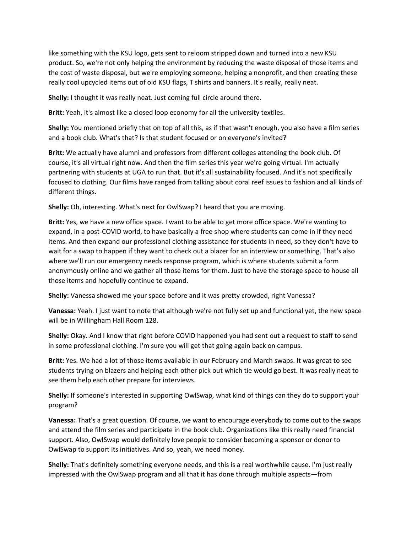like something with the KSU logo, gets sent to reloom stripped down and turned into a new KSU product. So, we're not only helping the environment by reducing the waste disposal of those items and the cost of waste disposal, but we're employing someone, helping a nonprofit, and then creating these really cool upcycled items out of old KSU flags, T shirts and banners. It's really, really neat.

**Shelly:** I thought it was really neat. Just coming full circle around there.

**Britt:** Yeah, it's almost like a closed loop economy for all the university textiles.

**Shelly:** You mentioned briefly that on top of all this, as if that wasn't enough, you also have a film series and a book club. What's that? Is that student focused or on everyone's invited?

**Britt:** We actually have alumni and professors from different colleges attending the book club. Of course, it's all virtual right now. And then the film series this year we're going virtual. I'm actually partnering with students at UGA to run that. But it's all sustainability focused. And it's not specifically focused to clothing. Our films have ranged from talking about coral reef issues to fashion and all kinds of different things.

**Shelly:** Oh, interesting. What's next for OwlSwap? I heard that you are moving.

**Britt:** Yes, we have a new office space. I want to be able to get more office space. We're wanting to expand, in a post-COVID world, to have basically a free shop where students can come in if they need items. And then expand our professional clothing assistance for students in need, so they don't have to wait for a swap to happen if they want to check out a blazer for an interview or something. That's also where we'll run our emergency needs response program, which is where students submit a form anonymously online and we gather all those items for them. Just to have the storage space to house all those items and hopefully continue to expand.

**Shelly:** Vanessa showed me your space before and it was pretty crowded, right Vanessa?

**Vanessa:** Yeah. I just want to note that although we're not fully set up and functional yet, the new space will be in Willingham Hall Room 128.

**Shelly:** Okay. And I know that right before COVID happened you had sent out a request to staff to send in some professional clothing. I'm sure you will get that going again back on campus.

**Britt:** Yes. We had a lot of those items available in our February and March swaps. It was great to see students trying on blazers and helping each other pick out which tie would go best. It was really neat to see them help each other prepare for interviews.

**Shelly:** If someone's interested in supporting OwlSwap, what kind of things can they do to support your program?

**Vanessa:** That's a great question. Of course, we want to encourage everybody to come out to the swaps and attend the film series and participate in the book club. Organizations like this really need financial support. Also, OwlSwap would definitely love people to consider becoming a sponsor or donor to OwlSwap to support its initiatives. And so, yeah, we need money.

**Shelly:** That's definitely something everyone needs, and this is a real worthwhile cause. I'm just really impressed with the OwlSwap program and all that it has done through multiple aspects—from